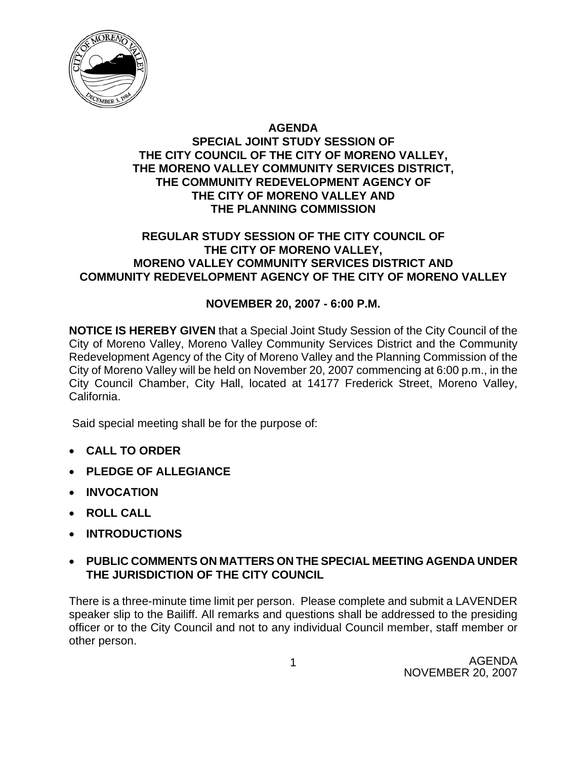

## **AGENDA SPECIAL JOINT STUDY SESSION OF THE CITY COUNCIL OF THE CITY OF MORENO VALLEY, THE MORENO VALLEY COMMUNITY SERVICES DISTRICT, THE COMMUNITY REDEVELOPMENT AGENCY OF THE CITY OF MORENO VALLEY AND THE PLANNING COMMISSION**

# **REGULAR STUDY SESSION OF THE CITY COUNCIL OF THE CITY OF MORENO VALLEY, MORENO VALLEY COMMUNITY SERVICES DISTRICT AND COMMUNITY REDEVELOPMENT AGENCY OF THE CITY OF MORENO VALLEY**

# **NOVEMBER 20, 2007 - 6:00 P.M.**

**NOTICE IS HEREBY GIVEN** that a Special Joint Study Session of the City Council of the City of Moreno Valley, Moreno Valley Community Services District and the Community Redevelopment Agency of the City of Moreno Valley and the Planning Commission of the City of Moreno Valley will be held on November 20, 2007 commencing at 6:00 p.m., in the City Council Chamber, City Hall, located at 14177 Frederick Street, Moreno Valley, California.

Said special meeting shall be for the purpose of:

- **CALL TO ORDER**
- **PLEDGE OF ALLEGIANCE**
- **INVOCATION**
- **ROLL CALL**
- **INTRODUCTIONS**

# • **PUBLIC COMMENTS ON MATTERS ON THE SPECIAL MEETING AGENDA UNDER THE JURISDICTION OF THE CITY COUNCIL**

There is a three-minute time limit per person. Please complete and submit a LAVENDER speaker slip to the Bailiff. All remarks and questions shall be addressed to the presiding officer or to the City Council and not to any individual Council member, staff member or other person.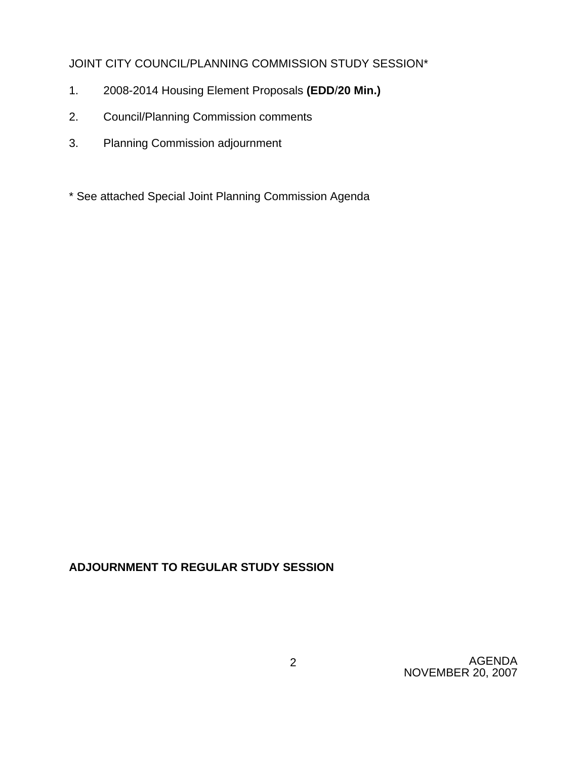# JOINT CITY COUNCIL/PLANNING COMMISSION STUDY SESSION\*

- 1. 2008-2014 Housing Element Proposals **(EDD**/**20 Min.)**
- 2. Council/Planning Commission comments
- 3. Planning Commission adjournment
- \* See attached Special Joint Planning Commission Agenda

# **ADJOURNMENT TO REGULAR STUDY SESSION**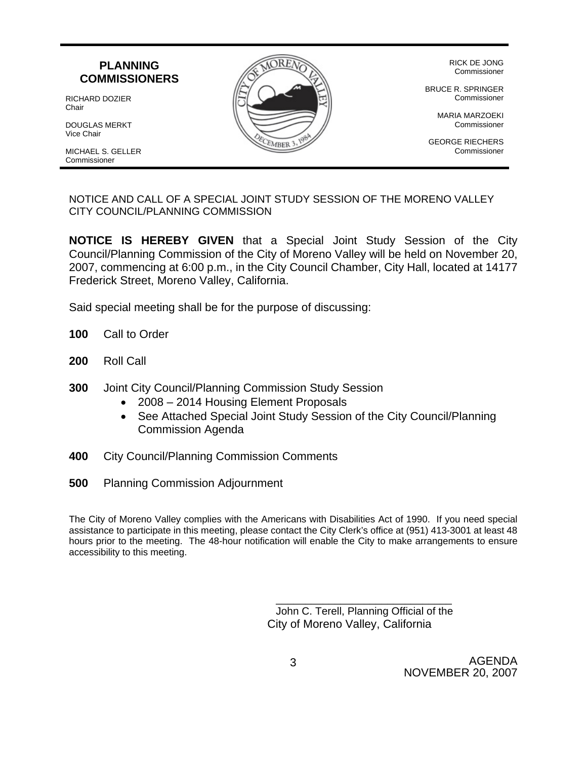

NOTICE AND CALL OF A SPECIAL JOINT STUDY SESSION OF THE MORENO VALLEY CITY COUNCIL/PLANNING COMMISSION

**NOTICE IS HEREBY GIVEN** that a Special Joint Study Session of the City Council/Planning Commission of the City of Moreno Valley will be held on November 20, 2007, commencing at 6:00 p.m., in the City Council Chamber, City Hall, located at 14177 Frederick Street, Moreno Valley, California.

Said special meeting shall be for the purpose of discussing:

- **100** Call to Order
- **200** Roll Call
- **300** Joint City Council/Planning Commission Study Session
	- 2008 2014 Housing Element Proposals
	- See Attached Special Joint Study Session of the City Council/Planning Commission Agenda
- **400** City Council/Planning Commission Comments
- **500** Planning Commission Adjournment

The City of Moreno Valley complies with the Americans with Disabilities Act of 1990. If you need special assistance to participate in this meeting, please contact the City Clerk's office at (951) 413-3001 at least 48 hours prior to the meeting. The 48-hour notification will enable the City to make arrangements to ensure accessibility to this meeting.

> John C. Terell, Planning Official of the City of Moreno Valley, California

\_\_\_\_\_\_\_\_\_\_\_\_\_\_\_\_\_\_\_\_\_\_\_\_\_\_\_\_\_\_